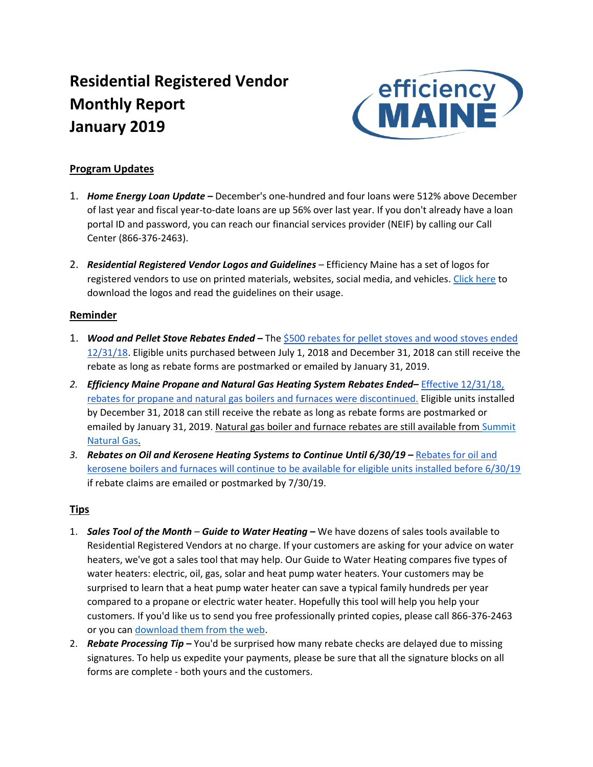# **Residential Registered Vendor Monthly Report January 2019**



# **Program Updates**

- 1. *Home Energy Loan Update* **–** December's one-hundred and four loans were 512% above December of last year and fiscal year-to-date loans are up 56% over last year. If you don't already have a loan portal ID and password, you can reach our financial services provider (NEIF) by calling our Call Center (866-376-2463).
- 2. *Residential Registered Vendor Logos and Guidelines* Efficiency Maine has a set of logos for registered vendors to use on printed materials, websites, social media, and vehicles. [Click here](https://www.efficiencymaine.com/partner-logo-and-guidelines/) to download the logos and read the guidelines on their usage.

### **Reminder**

- 1. *Wood and Pellet Stove Rebates Ended –* The [\\$500 rebates for pellet stoves and wood stoves ended](https://www.efficiencymaine.com/at-home/pelletwood-stoves/)  [12/31/18.](https://www.efficiencymaine.com/at-home/pelletwood-stoves/) Eligible units purchased between July 1, 2018 and December 31, 2018 can still receive the rebate as long as rebate forms are postmarked or emailed by January 31, 2019.
- *2. Efficiency Maine Propane and Natural Gas Heating System Rebates Ended–* [Effective 12/31/18,](https://www.efficiencymaine.com/at-home/boilers-and-furnaces/)  [rebates for propane and natural gas boilers and furnaces were discontinued.](https://www.efficiencymaine.com/at-home/boilers-and-furnaces/) Eligible units installed by December 31, 2018 can still receive the rebate as long as rebate forms are postmarked or emailed by January 31, 2019. Natural gas boiler and furnace rebates are still available fro[m Summit](https://summitnaturalgasmaine.com/Documents/Residential-Incentive-Rebate-Request-Form.pdf)  [Natural Gas.](https://summitnaturalgasmaine.com/Documents/Residential-Incentive-Rebate-Request-Form.pdf)
- *3. Rebates on Oil and Kerosene Heating Systems to Continue Until 6/30/19 –* [Rebates for oil and](https://www.efficiencymaine.com/at-home/boilers-and-furnaces/)  [kerosene boilers and furnaces will continue to be available for eligible units installed before 6/30/19](https://www.efficiencymaine.com/at-home/boilers-and-furnaces/) if rebate claims are emailed or postmarked by 7/30/19.

## **Tips**

- 1. *Sales Tool of the Month Guide to Water Heating –* We have dozens of sales tools available to Residential Registered Vendors at no charge. If your customers are asking for your advice on water heaters, we've got a sales tool that may help. Our Guide to Water Heating compares five types of water heaters: electric, oil, gas, solar and heat pump water heaters. Your customers may be surprised to learn that a heat pump water heater can save a typical family hundreds per year compared to a propane or electric water heater. Hopefully this tool will help you help your customers. If you'd like us to send you free professionally printed copies, please call 866-376-2463 or you can [download them from the web.](https://www.efficiencymaine.com/docs/EM-Guide-to-Water-Heating.pdf#2)
- 2. *Rebate Processing Tip* **–** You'd be surprised how many rebate checks are delayed due to missing signatures. To help us expedite your payments, please be sure that all the signature blocks on all forms are complete - both yours and the customers.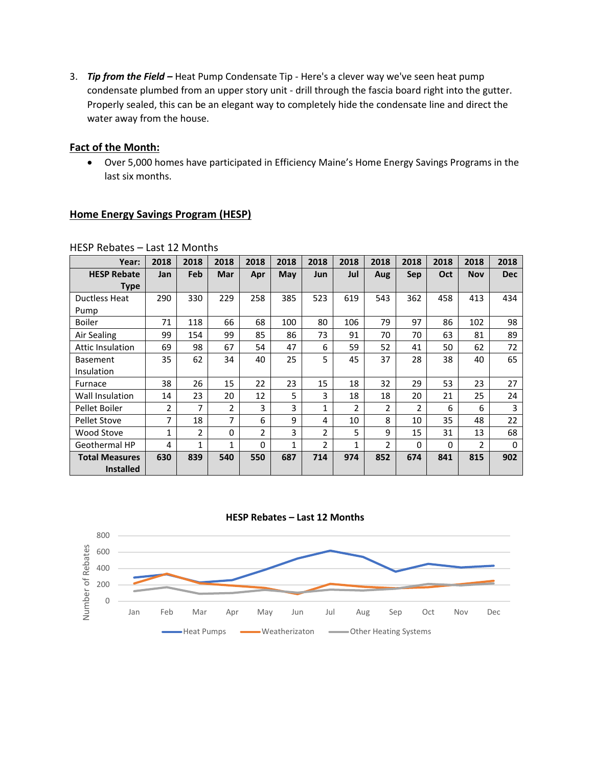3. *Tip from the Field –* Heat Pump Condensate Tip - Here's a clever way we've seen heat pump condensate plumbed from an upper story unit - drill through the fascia board right into the gutter. Properly sealed, this can be an elegant way to completely hide the condensate line and direct the water away from the house.

#### **Fact of the Month:**

• Over 5,000 homes have participated in Efficiency Maine's Home Energy Savings Programs in the last six months.

### **Home Energy Savings Program (HESP)**

| Year:                   | 2018         | 2018           | 2018         | 2018     | 2018       | 2018           | 2018 | 2018 | 2018           | 2018     | 2018           | 2018       |
|-------------------------|--------------|----------------|--------------|----------|------------|----------------|------|------|----------------|----------|----------------|------------|
| <b>HESP Rebate</b>      | Jan          | Feb            | Mar          | Apr      | <b>May</b> | Jun            | Jul  | Aug  | <b>Sep</b>     | Oct      | <b>Nov</b>     | <b>Dec</b> |
| Type                    |              |                |              |          |            |                |      |      |                |          |                |            |
| Ductless Heat           | 290          | 330            | 229          | 258      | 385        | 523            | 619  | 543  | 362            | 458      | 413            | 434        |
| Pump                    |              |                |              |          |            |                |      |      |                |          |                |            |
| <b>Boiler</b>           | 71           | 118            | 66           | 68       | 100        | 80             | 106  | 79   | 97             | 86       | 102            | 98         |
| Air Sealing             | 99           | 154            | 99           | 85       | 86         | 73             | 91   | 70   | 70             | 63       | 81             | 89         |
| <b>Attic Insulation</b> | 69           | 98             | 67           | 54       | 47         | 6              | 59   | 52   | 41             | 50       | 62             | 72         |
| <b>Basement</b>         | 35           | 62             | 34           | 40       | 25         | 5              | 45   | 37   | 28             | 38       | 40             | 65         |
| Insulation              |              |                |              |          |            |                |      |      |                |          |                |            |
| Furnace                 | 38           | 26             | 15           | 22       | 23         | 15             | 18   | 32   | 29             | 53       | 23             | 27         |
| Wall Insulation         | 14           | 23             | 20           | 12       | 5          | 3              | 18   | 18   | 20             | 21       | 25             | 24         |
| Pellet Boiler           | 2            | 7              | 2            | 3        | 3          | 1              | 2    | 2    | $\overline{2}$ | 6        | 6              | 3          |
| <b>Pellet Stove</b>     | 7            | 18             | 7            | 6        | 9          | 4              | 10   | 8    | 10             | 35       | 48             | 22         |
| Wood Stove              | $\mathbf{1}$ | $\overline{2}$ | $\Omega$     | 2        | 3          | $\overline{2}$ | 5    | 9    | 15             | 31       | 13             | 68         |
| Geothermal HP           | 4            | 1              | $\mathbf{1}$ | $\Omega$ | 1          | $\overline{2}$ | 1    | 2    | 0              | $\Omega$ | $\overline{2}$ | 0          |
| <b>Total Measures</b>   | 630          | 839            | 540          | 550      | 687        | 714            | 974  | 852  | 674            | 841      | 815            | 902        |
| <b>Installed</b>        |              |                |              |          |            |                |      |      |                |          |                |            |

#### HESP Rebates – Last 12 Months